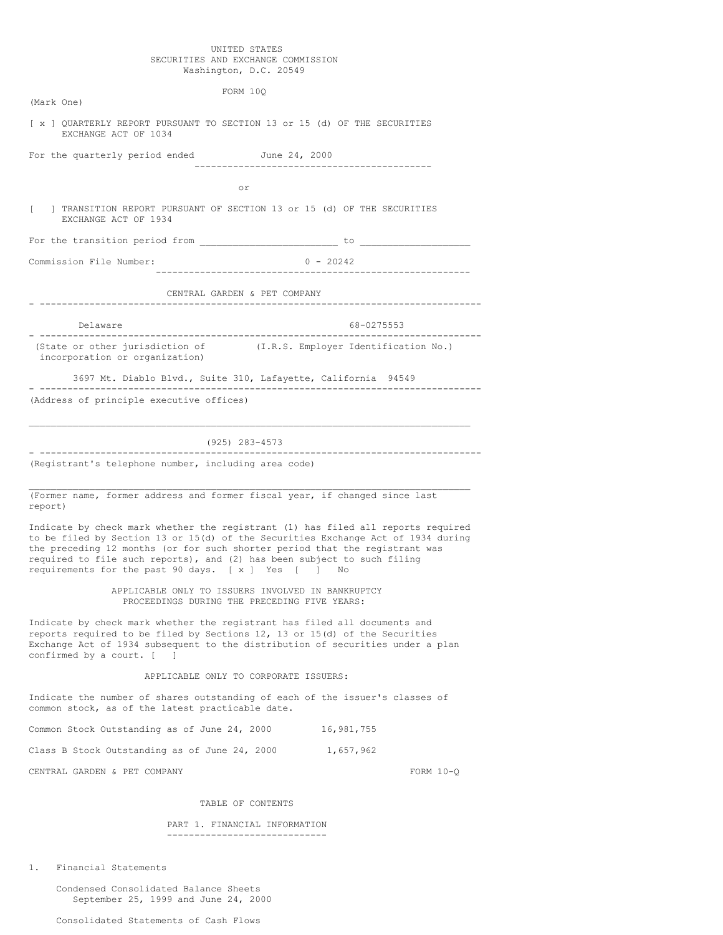### UNITED STATES SECURITIES AND EXCHANGE COMMISSION Washington, D.C. 20549

| FORM 10Q                                                                                                                                                                                                                                                                                                                                                                                 |
|------------------------------------------------------------------------------------------------------------------------------------------------------------------------------------------------------------------------------------------------------------------------------------------------------------------------------------------------------------------------------------------|
| (Mark One)                                                                                                                                                                                                                                                                                                                                                                               |
| [ x ] QUARTERLY REPORT PURSUANT TO SECTION 13 or 15 (d) OF THE SECURITIES<br>EXCHANGE ACT OF 1034                                                                                                                                                                                                                                                                                        |
| For the quarterly period ended June 24, 2000<br>--------------------------------------                                                                                                                                                                                                                                                                                                   |
|                                                                                                                                                                                                                                                                                                                                                                                          |
| or                                                                                                                                                                                                                                                                                                                                                                                       |
| ] TRANSITION REPORT PURSUANT OF SECTION 13 or 15 (d) OF THE SECURITIES<br>L<br>EXCHANGE ACT OF 1934                                                                                                                                                                                                                                                                                      |
|                                                                                                                                                                                                                                                                                                                                                                                          |
| Commission File Number:<br>$0 - 20242$                                                                                                                                                                                                                                                                                                                                                   |
| CENTRAL GARDEN & PET COMPANY                                                                                                                                                                                                                                                                                                                                                             |
|                                                                                                                                                                                                                                                                                                                                                                                          |
| Delaware<br>68-0275553<br>------------------------------<br>_____________                                                                                                                                                                                                                                                                                                                |
| (State or other jurisdiction of<br>(I.R.S. Employer Identification No.)<br>incorporation or organization)                                                                                                                                                                                                                                                                                |
| 3697 Mt. Diablo Blvd., Suite 310, Lafayette, California 94549                                                                                                                                                                                                                                                                                                                            |
| (Address of principle executive offices)                                                                                                                                                                                                                                                                                                                                                 |
|                                                                                                                                                                                                                                                                                                                                                                                          |
| (925) 283-4573                                                                                                                                                                                                                                                                                                                                                                           |
| -----------------------------<br>(Registrant's telephone number, including area code)                                                                                                                                                                                                                                                                                                    |
|                                                                                                                                                                                                                                                                                                                                                                                          |
| (Former name, former address and former fiscal year, if changed since last<br>report)                                                                                                                                                                                                                                                                                                    |
| Indicate by check mark whether the registrant (1) has filed all reports required<br>to be filed by Section 13 or 15(d) of the Securities Exchange Act of 1934 during<br>the preceding 12 months (or for such shorter period that the registrant was<br>required to file such reports), and (2) has been subject to such filing<br>requirements for the past 90 days. [ x ] Yes [ ]<br>No |
| APPLICABLE ONLY TO ISSUERS INVOLVED IN BANKRUPTCY<br>PROCEEDINGS DURING THE PRECEDING FIVE YEARS:                                                                                                                                                                                                                                                                                        |
| Indicate by check mark whether the registrant has filed all documents and<br>reports required to be filed by Sections 12, 13 or 15(d) of the Securities<br>Exchange Act of 1934 subsequent to the distribution of securities under a plan<br>confirmed by a court. [<br>$\Box$                                                                                                           |
| APPLICABLE ONLY TO CORPORATE ISSUERS:                                                                                                                                                                                                                                                                                                                                                    |
| Indicate the number of shares outstanding of each of the issuer's classes of<br>common stock, as of the latest practicable date.                                                                                                                                                                                                                                                         |
| Common Stock Outstanding as of June 24, 2000<br>16,981,755                                                                                                                                                                                                                                                                                                                               |
| Class B Stock Outstanding as of June 24, 2000<br>1,657,962                                                                                                                                                                                                                                                                                                                               |
| CENTRAL GARDEN & PET COMPANY<br>FORM $10-Q$                                                                                                                                                                                                                                                                                                                                              |
|                                                                                                                                                                                                                                                                                                                                                                                          |
| TABLE OF CONTENTS                                                                                                                                                                                                                                                                                                                                                                        |
| PART 1. FINANCIAL INFORMATION                                                                                                                                                                                                                                                                                                                                                            |

-----------------------------

1. Financial Statements

Condensed Consolidated Balance Sheets September 25, 1999 and June 24, 2000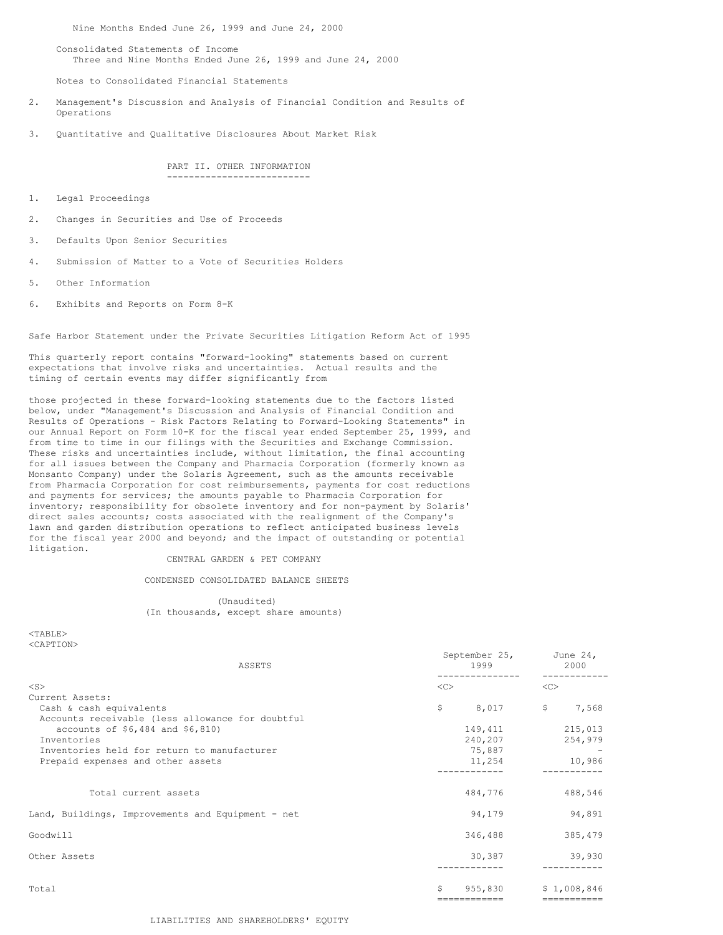Nine Months Ended June 26, 1999 and June 24, 2000

Consolidated Statements of Income Three and Nine Months Ended June 26, 1999 and June 24, 2000

Notes to Consolidated Financial Statements

- 2. Management's Discussion and Analysis of Financial Condition and Results of Operations
- 3. Quantitative and Qualitative Disclosures About Market Risk

PART II. OTHER INFORMATION --------------------------

- 1. Legal Proceedings
- 2. Changes in Securities and Use of Proceeds
- 3. Defaults Upon Senior Securities
- 4. Submission of Matter to a Vote of Securities Holders
- 5. Other Information
- 6. Exhibits and Reports on Form 8-K

Safe Harbor Statement under the Private Securities Litigation Reform Act of 1995

This quarterly report contains "forward-looking" statements based on current expectations that involve risks and uncertainties. Actual results and the timing of certain events may differ significantly from

those projected in these forward-looking statements due to the factors listed below, under "Management's Discussion and Analysis of Financial Condition and Results of Operations - Risk Factors Relating to Forward-Looking Statements" in our Annual Report on Form 10-K for the fiscal year ended September 25, 1999, and from time to time in our filings with the Securities and Exchange Commission. These risks and uncertainties include, without limitation, the final accounting for all issues between the Company and Pharmacia Corporation (formerly known as Monsanto Company) under the Solaris Agreement, such as the amounts receivable from Pharmacia Corporation for cost reimbursements, payments for cost reductions and payments for services; the amounts payable to Pharmacia Corporation for inventory; responsibility for obsolete inventory and for non-payment by Solaris' direct sales accounts; costs associated with the realignment of the Company's lawn and garden distribution operations to reflect anticipated business levels for the fiscal year 2000 and beyond; and the impact of outstanding or potential litigation.

CENTRAL GARDEN & PET COMPANY

CONDENSED CONSOLIDATED BALANCE SHEETS

(Unaudited) (In thousands, except share amounts)

 $<$ TABLE> <CAPTION>

| ASSETS                                            | 1999         | September 25,<br>June $24$ ,<br>2000 |
|---------------------------------------------------|--------------|--------------------------------------|
| $<$ S $>$                                         | <<           | <<                                   |
| Current Assets:                                   |              |                                      |
| Cash & cash equivalents                           | \$           | \$<br>8,017<br>7,568                 |
| Accounts receivable (less allowance for doubtful  |              |                                      |
| accounts of \$6,484 and \$6,810)                  | 149,411      | 215,013                              |
| Inventories                                       | 240,207      | 254,979                              |
| Inventories held for return to manufacturer       |              | 75,887                               |
| Prepaid expenses and other assets                 | 11,254       | 10,986                               |
|                                                   |              |                                      |
| Total current assets                              | 484,776      | 488,546                              |
| Land, Buildings, Improvements and Equipment - net |              | 94,179<br>94,891                     |
| Goodwill                                          | 346,488      | 385,479                              |
| Other Assets                                      |              | 30,387<br>39,930                     |
| Total                                             | Ŝ<br>955,830 | \$1,008,846                          |
|                                                   | ------------ | -----------                          |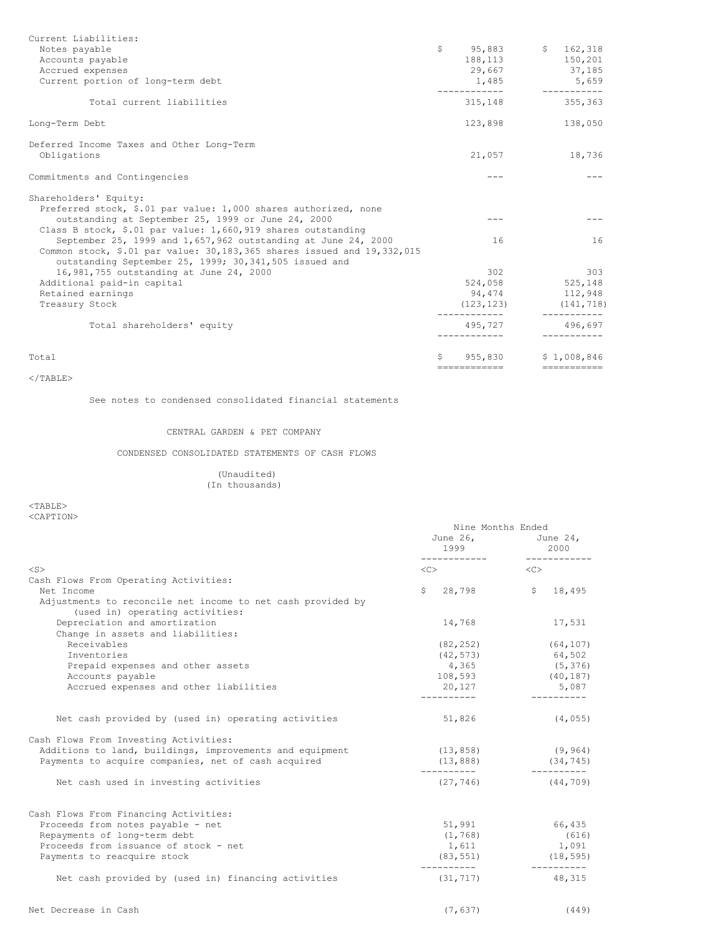| Current Liabilities:                                                                                                            |                              |                        |
|---------------------------------------------------------------------------------------------------------------------------------|------------------------------|------------------------|
| Notes payable                                                                                                                   | $$95,883$ $$162,318$         |                        |
| Accounts payable                                                                                                                | 188, 113 150, 201            |                        |
| Accrued expenses                                                                                                                | 29,667 37,185                |                        |
| Current portion of long-term debt                                                                                               | 1,485 5,659<br>------------- | _____________          |
| Total current liabilities                                                                                                       | 315, 148 355, 363            |                        |
| Long-Term Debt                                                                                                                  | 123,898                      | 138,050                |
| Deferred Income Taxes and Other Long-Term                                                                                       |                              |                        |
| Obligations                                                                                                                     | 21,057                       | 18,736                 |
| Commitments and Contingencies                                                                                                   | $- - -$                      |                        |
| Shareholders' Equity:                                                                                                           |                              |                        |
| Preferred stock, \$.01 par value: 1,000 shares authorized, none                                                                 |                              |                        |
| outstanding at September 25, 1999 or June 24, 2000                                                                              |                              |                        |
| Class B stock, \$.01 par value: 1,660,919 shares outstanding                                                                    |                              |                        |
| September 25, 1999 and 1,657,962 outstanding at June 24, 2000                                                                   | 16                           | 16                     |
| Common stock, \$.01 par value: 30,183,365 shares issued and 19,332,015<br>outstanding September 25, 1999; 30,341,505 issued and |                              |                        |
| 16,981,755 outstanding at June 24, 2000                                                                                         | 302                          | 303                    |
| Additional paid-in capital                                                                                                      | 524,058 525,148              |                        |
| Retained earnings                                                                                                               | 94,474                       | 112,948                |
| Treasury Stock                                                                                                                  | (123, 123)                   | (141, 718)             |
| Total shareholders' equity                                                                                                      | -------------<br>495,727     | -----------<br>496.697 |
|                                                                                                                                 |                              |                        |
| Total                                                                                                                           | \$955.830                    | \$1.008.846            |
|                                                                                                                                 | -------------                | ===========            |

 $<$ /TABLE $>$ 

See notes to condensed consolidated financial statements

## CENTRAL GARDEN & PET COMPANY

CONDENSED CONSOLIDATED STATEMENTS OF CASH FLOWS

### (Unaudited) (In thousands)

 $<sub>TABLE</sub>$ </sub> <CAPTION>

|                                                                                                                    | Nine Months Ended<br>1999 | June 26, June 24,<br>2000 |  |
|--------------------------------------------------------------------------------------------------------------------|---------------------------|---------------------------|--|
| $<$ S $>$                                                                                                          | $\langle$ C> $\sim$       | <<>                       |  |
| Cash Flows From Operating Activities:<br>Net Income<br>Adjustments to reconcile net income to net cash provided by | $\mathsf{S}$              | 28,798 \$ 18,495          |  |
| (used in) operating activities:                                                                                    |                           |                           |  |
| Depreciation and amortization<br>Change in assets and liabilities:                                                 | 14,768                    | 17,531                    |  |
| Receivables                                                                                                        | (82, 252)                 | (64, 107)                 |  |
| Inventories                                                                                                        | (42, 573)                 | 64,502                    |  |
| Prepaid expenses and other assets                                                                                  | 4,365                     | (5, 376)                  |  |
| Accounts payable                                                                                                   | 108,593                   | (40, 187)                 |  |
| Accrued expenses and other liabilities                                                                             | 20,127<br>-----------     | 5,087<br>-----------      |  |
| Net cash provided by (used in) operating activities                                                                | 51,826                    | (4, 055)                  |  |
| Cash Flows From Investing Activities:                                                                              |                           |                           |  |
| Additions to land, buildings, improvements and equipment                                                           | (13, 858)                 | (9, 964)                  |  |
| Payments to acquire companies, net of cash acquired                                                                | (13, 888)<br>-----------  | (34, 745)<br>__________   |  |
| Net cash used in investing activities                                                                              | (27, 746)                 | (44, 709)                 |  |
| Cash Flows From Financing Activities:                                                                              |                           |                           |  |
| Proceeds from notes payable - net                                                                                  | 51,991                    | 66,435                    |  |
| Repayments of long-term debt                                                                                       | (1, 768)                  | (616)                     |  |
| Proceeds from issuance of stock - net                                                                              | 1,611                     | 1,091                     |  |
| Payments to reacquire stock                                                                                        | (83, 551)<br>-----------  | (18, 595)<br>-----------  |  |
| Net cash provided by (used in) financing activities                                                                | (31, 717)                 | 48,315                    |  |
| Net Decrease in Cash                                                                                               | (7, 637)                  | (449)                     |  |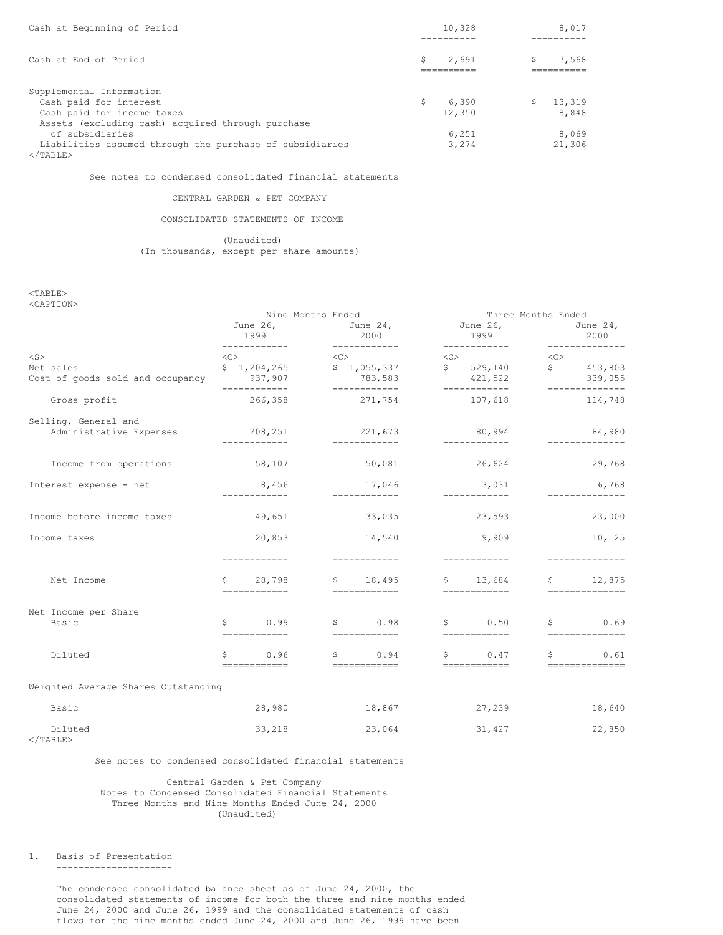| Cash at Beginning of Period                              | 10,328      |    | 8,017  |
|----------------------------------------------------------|-------------|----|--------|
|                                                          |             |    |        |
| Cash at End of Period                                    | \$<br>2,691 | Ŝ. | 7.568  |
|                                                          |             |    |        |
| Supplemental Information                                 |             |    |        |
| Cash paid for interest                                   | \$<br>6.390 | S. | 13,319 |
| Cash paid for income taxes                               | 12,350      |    | 8,848  |
| Assets (excluding cash) acquired through purchase        |             |    |        |
| of subsidiaries                                          | 6,251       |    | 8,069  |
| Liabilities assumed through the purchase of subsidiaries | 3,274       |    | 21,306 |
| $<$ /TABLE>                                              |             |    |        |

See notes to condensed consolidated financial statements

### CENTRAL GARDEN & PET COMPANY

### CONSOLIDATED STATEMENTS OF INCOME

(Unaudited) (In thousands, except per share amounts)

<TABLE> <CAPTION>

| VOHE LIUNZ                                      |   | Nine Months Ended<br>June 26,<br>1999                      | June 24,<br>2000                          | Three Months Ended<br>June 26,<br>1999                                                  |           | June 24,<br>2000          |
|-------------------------------------------------|---|------------------------------------------------------------|-------------------------------------------|-----------------------------------------------------------------------------------------|-----------|---------------------------|
| $<$ S $>$                                       |   | $\langle C \rangle$                                        | $<<$ $C$ $>$                              | $\langle C \rangle$                                                                     | < <c></c> |                           |
| Net sales<br>Cost of goods sold and occupancy   |   | \$1,204,265<br>937,907<br>------------                     | \$1,055,337<br>783,583                    | $\begin{array}{cccc} 5 & 529,140 \\ 5 & 453,803 \end{array}$<br>421,522<br>____________ |           | 339,055                   |
| Gross profit                                    |   | 266,358                                                    | 271,754                                   | 107,618                                                                                 |           | 114,748                   |
| Selling, General and<br>Administrative Expenses |   | 208,251<br>-------------                                   | 221,673<br>____________                   | 80,994<br>____________                                                                  |           | 84,980<br>_______________ |
| Income from operations                          |   | 58,107                                                     | 50,081                                    | 26,624                                                                                  |           | 29,768                    |
| Interest expense - net                          |   | 8,456<br>____________                                      | 17,046<br>____________                    | 3,031<br>_____________                                                                  |           | 6,768<br>_______________  |
| Income before income taxes                      |   | 49,651                                                     | 33,035                                    | 23,593                                                                                  |           | 23,000                    |
| Income taxes                                    |   | 20,853                                                     | 14,540                                    | 9,909                                                                                   |           | 10,125                    |
| Net Income                                      |   | ------------<br>\$ 28,798<br>------------                  | ------------<br>\$18,495                  | -------------<br>$$13,684$ \$ 12,875                                                    |           | ______________            |
| Net Income per Share<br>Basic                   |   | $\begin{array}{ccc} 5 & 0.99 \end{array}$<br>------------- | $\begin{array}{ccc} 5 & 0.98 \end{array}$ | $S \t 0.50 S \t 0.69$                                                                   |           |                           |
| Diluted                                         | S | 0.96<br>============                                       | \$0.94<br>________________                | $\begin{matrix} 5 & 0.47 \end{matrix}$                                                  |           | $\sim 0.61$               |
| Weighted Average Shares Outstanding             |   |                                                            |                                           |                                                                                         |           |                           |
| Basic                                           |   | 28,980                                                     | 18,867 27,239                             |                                                                                         |           | 18,640                    |
| Diluted                                         |   | 33,218                                                     | 23,064                                    | 31,427                                                                                  |           | 22,850                    |

</TABLE>

See notes to condensed consolidated financial statements

Central Garden & Pet Company Notes to Condensed Consolidated Financial Statements Three Months and Nine Months Ended June 24, 2000 (Unaudited)

1. Basis of Presentation

---------------------

The condensed consolidated balance sheet as of June 24, 2000, the consolidated statements of income for both the three and nine months ended June 24, 2000 and June 26, 1999 and the consolidated statements of cash flows for the nine months ended June 24, 2000 and June 26, 1999 have been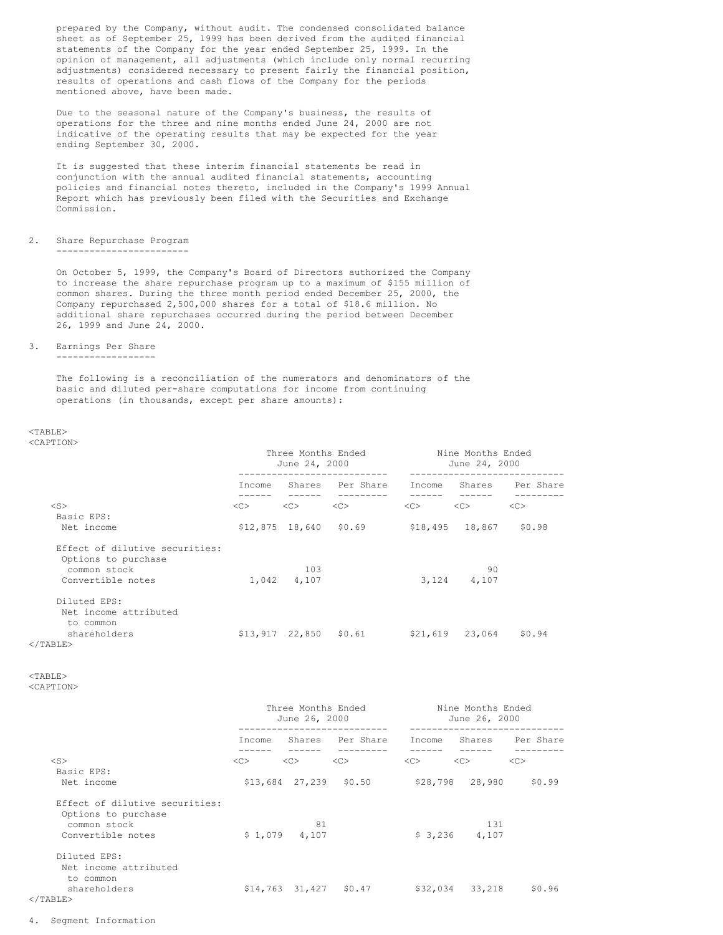prepared by the Company, without audit. The condensed consolidated balance sheet as of September 25, 1999 has been derived from the audited financial statements of the Company for the year ended September 25, 1999. In the opinion of management, all adjustments (which include only normal recurring adjustments) considered necessary to present fairly the financial position, results of operations and cash flows of the Company for the periods mentioned above, have been made.

Due to the seasonal nature of the Company's business, the results of operations for the three and nine months ended June 24, 2000 are not indicative of the operating results that may be expected for the year ending September 30, 2000.

It is suggested that these interim financial statements be read in conjunction with the annual audited financial statements, accounting policies and financial notes thereto, included in the Company's 1999 Annual Report which has previously been filed with the Securities and Exchange Commission.

#### 2. Share Repurchase Program ------------------------

On October 5, 1999, the Company's Board of Directors authorized the Company to increase the share repurchase program up to a maximum of \$155 million of common shares. During the three month period ended December 25, 2000, the Company repurchased 2,500,000 shares for a total of \$18.6 million. No additional share repurchases occurred during the period between December 26, 1999 and June 24, 2000.

3. Earnings Per Share

------------------

The following is a reconciliation of the numerators and denominators of the basic and diluted per-share computations for income from continuing operations (in thousands, except per share amounts):

#### $<$ TABLE> <CAPTION>

|                                                       | Three Months Ended<br>June 24, 2000 |                         |                  | Nine Months Ended<br>June 24, 2000 |                 |                  |
|-------------------------------------------------------|-------------------------------------|-------------------------|------------------|------------------------------------|-----------------|------------------|
|                                                       | Income                              |                         | Shares Per Share | Income                             |                 | Shares Per Share |
| $<$ S $>$                                             | <<>                                 | <<                      | <<               | <<>                                | <<>             | <<               |
| Basic EPS:                                            |                                     |                         |                  |                                    |                 |                  |
| Net income                                            |                                     | $$12,875$ 18,640 \$0.69 |                  |                                    | \$18,495 18,867 | \$0.98           |
| Effect of dilutive securities:<br>Options to purchase |                                     |                         |                  |                                    |                 |                  |
| common stock                                          |                                     | 103                     |                  |                                    | 90              |                  |
| Convertible notes                                     |                                     | 1,042 4,107             |                  |                                    | 3, 124 4, 107   |                  |
| Diluted EPS:                                          |                                     |                         |                  |                                    |                 |                  |
| Net income attributed                                 |                                     |                         |                  |                                    |                 |                  |
| to common                                             |                                     |                         |                  |                                    |                 |                  |
| shareholders                                          |                                     | $$13,917$ 22,850 \$0.61 |                  | \$21,619                           | 23,064          | \$0.94           |
| $\langle$ /TABLE>                                     |                                     |                         |                  |                                    |                 |                  |

<TABLE>

<CAPTION>

|                                                       | Three Months Ended<br>June 26, 2000 |                |                            |         | Nine Months Ended<br>June 26, 2000 |                  |
|-------------------------------------------------------|-------------------------------------|----------------|----------------------------|---------|------------------------------------|------------------|
|                                                       | Income                              |                | Shares Per Share           | Income  |                                    | Shares Per Share |
| $<$ S $>$                                             | <<>                                 | <<             | <<                         | <<>     | <<>                                | <<               |
| Basic EPS:                                            |                                     |                |                            |         |                                    |                  |
| Net income                                            |                                     |                | $$13,684$ 27,239 \$0.50    |         | \$28,798 28,980                    | \$0.99           |
| Effect of dilutive securities:<br>Options to purchase |                                     |                |                            |         |                                    |                  |
| common stock                                          |                                     | 81             |                            |         | 131                                |                  |
| Convertible notes                                     |                                     | $$1,079$ 4,107 |                            | \$3,236 | 4,107                              |                  |
| Diluted EPS:                                          |                                     |                |                            |         |                                    |                  |
| Net income attributed                                 |                                     |                |                            |         |                                    |                  |
| to common                                             |                                     |                |                            |         |                                    |                  |
| shareholders                                          |                                     |                | $$14,763$ $31,427$ $$0.47$ |         | \$32,034 33,218                    | \$0.96           |
| $\langle$ /TABLE>                                     |                                     |                |                            |         |                                    |                  |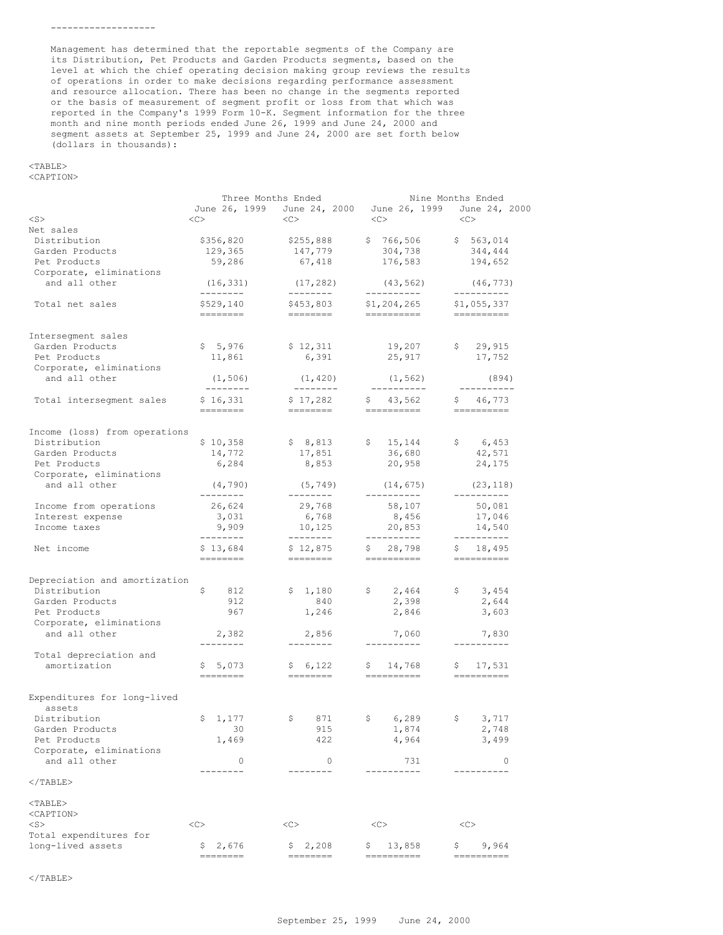Management has determined that the reportable segments of the Company are its Distribution, Pet Products and Garden Products segments, based on the level at which the chief operating decision making group reviews the results of operations in order to make decisions regarding performance assessment and resource allocation. There has been no change in the segments reported or the basis of measurement of segment profit or loss from that which was reported in the Company's 1999 Form 10-K. Segment information for the three month and nine month periods ended June 26, 1999 and June 24, 2000 and segment assets at September 25, 1999 and June 24, 2000 are set forth below (dollars in thousands):

# <TABLE>

<CAPTION>

|                               | Three Months Ended    |                       | Nine Months Ended           |                          |  |  |
|-------------------------------|-----------------------|-----------------------|-----------------------------|--------------------------|--|--|
|                               | June 26, 1999         |                       | June 24, 2000 June 26, 1999 | June 24, 2000            |  |  |
| $<$ S $>$                     | <<                    | <<>                   | $<<$ $>$                    | <<>                      |  |  |
| Net sales                     |                       |                       |                             |                          |  |  |
| Distribution                  | \$356,820             | \$255,888             | \$766,506                   | \$563,014                |  |  |
| Garden Products               | 129,365               | 147,779               | 304,738                     | 344,444                  |  |  |
| Pet Products                  | 59,286                | 67,418                | 176,583                     | 194,652                  |  |  |
| Corporate, eliminations       |                       |                       |                             |                          |  |  |
| and all other                 | (16, 331)             | (17, 282)             | (43, 562)                   | (46, 773)                |  |  |
|                               | ---------             | ---------             | ----------                  | ----------               |  |  |
| Total net sales               | \$529,140<br>-------- | \$453,803<br>======== | \$1,204,265<br>==========   | \$1,055,337<br>--------- |  |  |
| Intersegment sales            |                       |                       |                             |                          |  |  |
| Garden Products               | \$5,976               | \$12,311              | 19,207                      | \$29,915                 |  |  |
| Pet Products                  | 11,861                | 6,391                 | 25,917                      | 17,752                   |  |  |
| Corporate, eliminations       |                       |                       |                             |                          |  |  |
| and all other                 | (1, 506)<br>--------- | (1, 420)<br>--------- | (1, 562)<br>___________     | (894)<br>----------      |  |  |
| Total intersegment sales      | \$16,331              | \$17,282              | \$43,562                    | \$46,773                 |  |  |
|                               | ========              | --------              | ----------                  | -----------              |  |  |
| Income (loss) from operations |                       |                       |                             |                          |  |  |
| Distribution                  | \$10,358              | \$8,813               | \$15,144                    | \$ 6,453                 |  |  |
| Garden Products               | 14,772                | 17,851                | 36,680                      | 42,571                   |  |  |
| Pet Products                  | 6,284                 | 8,853                 | 20,958                      | 24,175                   |  |  |
| Corporate, eliminations       |                       |                       |                             |                          |  |  |
| and all other                 | (4, 790)<br>--------- | (5, 749)<br>--------- | (14, 675)<br>-----------    | (23, 118)<br>----------  |  |  |
| Income from operations        | 26,624                | 29,768                | 58,107                      | 50,081                   |  |  |
| Interest expense              | 3,031                 | 6,768                 | 8,456                       | 17,046                   |  |  |
| Income taxes                  | 9,909                 | 10,125                | 20,853                      | 14,540                   |  |  |
|                               | ---------             | ---------             | -----------                 | ----------               |  |  |
| Net income                    | \$13,684              | \$12,875              | \$28,798                    | \$18,495                 |  |  |
|                               | --------              | ========              | ----------                  | =======                  |  |  |
|                               |                       |                       |                             |                          |  |  |
| Depreciation and amortization |                       |                       |                             |                          |  |  |
| Distribution                  | \$<br>812             | \$1,180               | \$2,464                     | \$3,454                  |  |  |
| Garden Products               | 912                   | 840                   | 2,398                       | 2,644                    |  |  |
| Pet Products                  | 967                   | 1,246                 | 2,846                       | 3,603                    |  |  |
| Corporate, eliminations       |                       |                       |                             |                          |  |  |
| and all other                 | 2,382                 | 2,856                 | 7,060                       | 7,830                    |  |  |
|                               | --------              | --------              | ----------                  | ----------               |  |  |
| Total depreciation and        |                       |                       |                             |                          |  |  |
| amortization                  | \$5,073               | \$6,122               | \$14,768                    | \$17,531                 |  |  |
|                               | ========              | --------              | ----------                  |                          |  |  |
| Expenditures for long-lived   |                       |                       |                             |                          |  |  |
| assets                        |                       |                       |                             |                          |  |  |
| Distribution                  | \$1,177               | \$871                 | \$ 6,289                    | 3,717<br>- \$            |  |  |
| Garden Products               | 30                    | 915                   | 1,874                       | 2,748                    |  |  |
| Pet Products                  | 1,469                 | 422                   | 4,964                       | 3,499                    |  |  |
| Corporate, eliminations       |                       |                       |                             |                          |  |  |
| and all other                 | 0                     | 0                     | 731                         | 0                        |  |  |
| $<$ /TABLE>                   | $---$                 | $- - - - -$           | -----                       |                          |  |  |
|                               |                       |                       |                             |                          |  |  |
| $<$ TABLE>                    |                       |                       |                             |                          |  |  |
| <caption></caption>           |                       |                       |                             |                          |  |  |
| $<$ S $>$                     | <<                    | <<                    | <<                          | <<                       |  |  |
| Total expenditures for        |                       |                       |                             |                          |  |  |
| long-lived assets             | Ş.<br>2,676           | 2,208<br>Ş.           | 13,858<br>Ş.                | 9,964<br>Ş               |  |  |
|                               |                       |                       |                             |                          |  |  |

 $<$ /TABLE>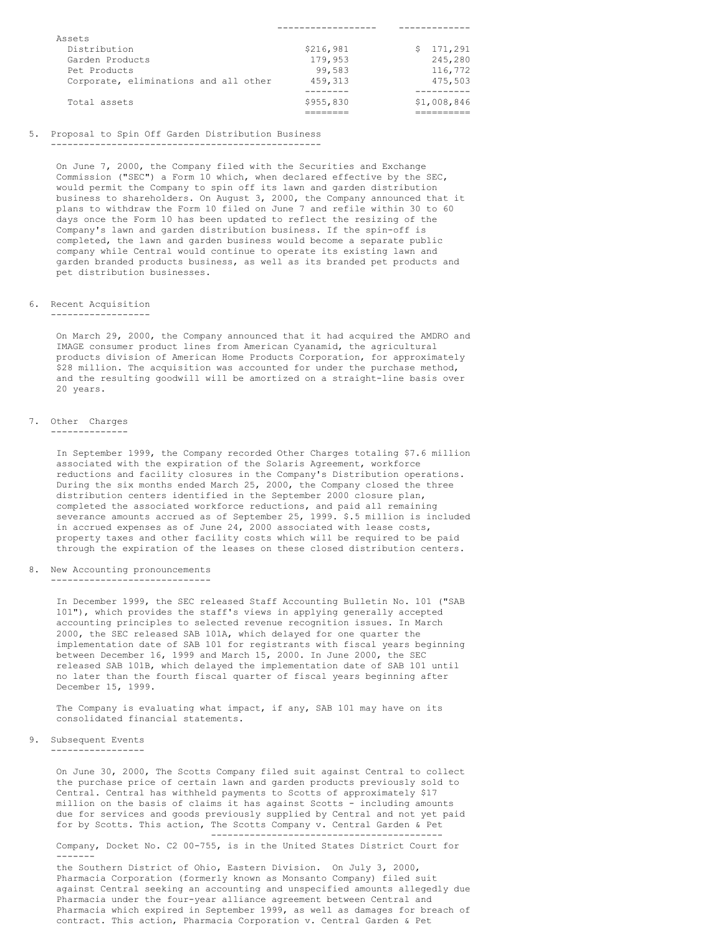| \$216,981 | \$171.291   |
|-----------|-------------|
| 179,953   | 245,280     |
| 99,583    | 116,772     |
| 459.313   | 475.503     |
|           |             |
| \$955,830 | \$1,008,846 |
|           |             |
|           |             |

------------------ -------------

### 5. Proposal to Spin Off Garden Distribution Business -------------------------------------------------

On June 7, 2000, the Company filed with the Securities and Exchange Commission ("SEC") a Form 10 which, when declared effective by the SEC, would permit the Company to spin off its lawn and garden distribution business to shareholders. On August 3, 2000, the Company announced that it plans to withdraw the Form 10 filed on June 7 and refile within 30 to 60 days once the Form 10 has been updated to reflect the resizing of the Company's lawn and garden distribution business. If the spin-off is completed, the lawn and garden business would become a separate public company while Central would continue to operate its existing lawn and garden branded products business, as well as its branded pet products and pet distribution businesses.

#### 6. Recent Acquisition

------------------

On March 29, 2000, the Company announced that it had acquired the AMDRO and IMAGE consumer product lines from American Cyanamid, the agricultural products division of American Home Products Corporation, for approximately \$28 million. The acquisition was accounted for under the purchase method, and the resulting goodwill will be amortized on a straight-line basis over 20 years.

### 7. Other Charges

--------------

In September 1999, the Company recorded Other Charges totaling \$7.6 million associated with the expiration of the Solaris Agreement, workforce reductions and facility closures in the Company's Distribution operations. During the six months ended March 25, 2000, the Company closed the three distribution centers identified in the September 2000 closure plan, completed the associated workforce reductions, and paid all remaining severance amounts accrued as of September 25, 1999. \$.5 million is included in accrued expenses as of June 24, 2000 associated with lease costs, property taxes and other facility costs which will be required to be paid through the expiration of the leases on these closed distribution centers.

#### 8. New Accounting pronouncements

-----------------------------

In December 1999, the SEC released Staff Accounting Bulletin No. 101 ("SAB 101"), which provides the staff's views in applying generally accepted accounting principles to selected revenue recognition issues. In March 2000, the SEC released SAB 101A, which delayed for one quarter the implementation date of SAB 101 for registrants with fiscal years beginning between December 16, 1999 and March 15, 2000. In June 2000, the SEC released SAB 101B, which delayed the implementation date of SAB 101 until no later than the fourth fiscal quarter of fiscal years beginning after December 15, 1999.

The Company is evaluating what impact, if any, SAB 101 may have on its consolidated financial statements.

#### 9. Subsequent Events -----------------

On June 30, 2000, The Scotts Company filed suit against Central to collect the purchase price of certain lawn and garden products previously sold to Central. Central has withheld payments to Scotts of approximately \$17 million on the basis of claims it has against Scotts - including amounts due for services and goods previously supplied by Central and not yet paid for by Scotts. This action, The Scotts Company v. Central Garden & Pet ------------------------------------------

Company, Docket No. C2 00-755, is in the United States District Court for -------

the Southern District of Ohio, Eastern Division. On July 3, 2000, Pharmacia Corporation (formerly known as Monsanto Company) filed suit against Central seeking an accounting and unspecified amounts allegedly due Pharmacia under the four-year alliance agreement between Central and Pharmacia which expired in September 1999, as well as damages for breach of contract. This action, Pharmacia Corporation v. Central Garden & Pet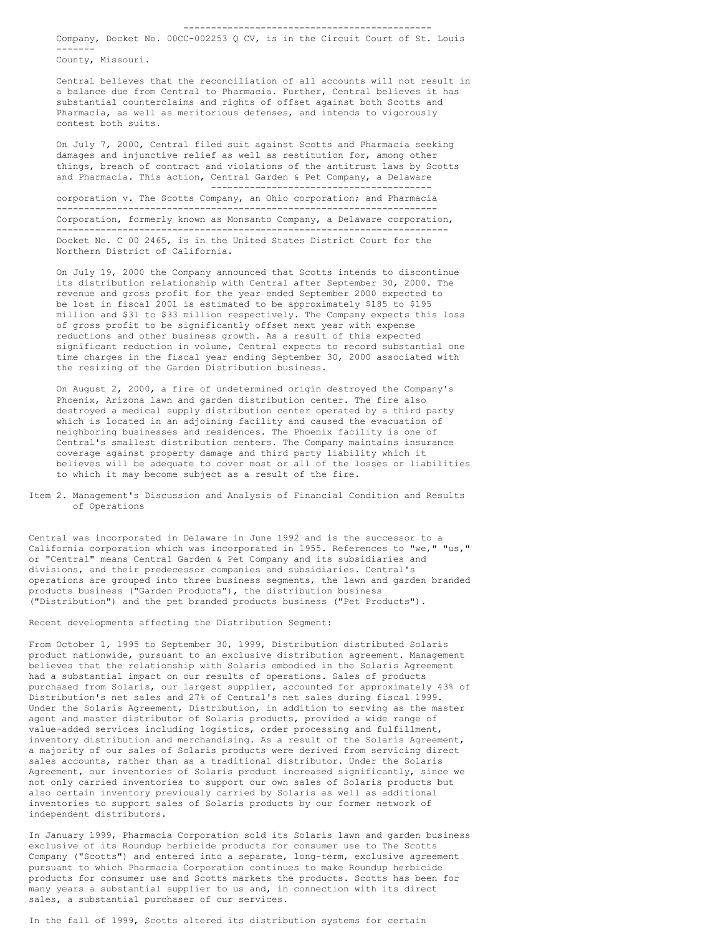Company, Docket No. 00CC-002253 Q CV, is in the Circuit Court of St. Louis -------

County, Missouri.

Central believes that the reconciliation of all accounts will not result in a balance due from Central to Pharmacia. Further, Central believes it has substantial counterclaims and rights of offset against both Scotts and Pharmacia, as well as meritorious defenses, and intends to vigorously contest both suits.

On July 7, 2000, Central filed suit against Scotts and Pharmacia seeking damages and injunctive relief as well as restitution for, among other things, breach of contract and violations of the antitrust laws by Scotts and Pharmacia. This action, Central Garden & Pet Company, a Delaware

--------------------------------------- corporation v. The Scotts Company, an Ohio corporation; and Pharmacia --------------------------------------------------------------------- Corporation, formerly known as Monsanto Company, a Delaware corporation, ----------------------------------------------------------------------- Docket No. C 00 2465, is in the United States District Court for the Northern District of California.

On July 19, 2000 the Company announced that Scotts intends to discontinue its distribution relationship with Central after September 30, 2000. The revenue and gross profit for the year ended September 2000 expected to be lost in fiscal 2001 is estimated to be approximately \$185 to \$195 million and \$31 to \$33 million respectively. The Company expects this loss of gross profit to be significantly offset next year with expense reductions and other business growth. As a result of this expected significant reduction in volume, Central expects to record substantial one time charges in the fiscal year ending September 30, 2000 associated with the resizing of the Garden Distribution business.

On August 2, 2000, a fire of undetermined origin destroyed the Company's Phoenix, Arizona lawn and garden distribution center. The fire also destroyed a medical supply distribution center operated by a third party which is located in an adjoining facility and caused the evacuation of neighboring businesses and residences. The Phoenix facility is one of Central's smallest distribution centers. The Company maintains insurance coverage against property damage and third party liability which it believes will be adequate to cover most or all of the losses or liabilities to which it may become subject as a result of the fire.

Item 2. Management's Discussion and Analysis of Financial Condition and Results of Operations

Central was incorporated in Delaware in June 1992 and is the successor to a California corporation which was incorporated in 1955. References to "we," "us," or "Central" means Central Garden & Pet Company and its subsidiaries and divisions, and their predecessor companies and subsidiaries. Central's operations are grouped into three business segments, the lawn and garden branded products business ("Garden Products"), the distribution business ("Distribution") and the pet branded products business ("Pet Products").

Recent developments affecting the Distribution Segment:

From October 1, 1995 to September 30, 1999, Distribution distributed Solaris product nationwide, pursuant to an exclusive distribution agreement. Management believes that the relationship with Solaris embodied in the Solaris Agreement had a substantial impact on our results of operations. Sales of products purchased from Solaris, our largest supplier, accounted for approximately 43% of Distribution's net sales and 27% of Central's net sales during fiscal 1999. Under the Solaris Agreement, Distribution, in addition to serving as the master agent and master distributor of Solaris products, provided a wide range of value-added services including logistics, order processing and fulfillment, inventory distribution and merchandising. As a result of the Solaris Agreement, a majority of our sales of Solaris products were derived from servicing direct sales accounts, rather than as a traditional distributor. Under the Solaris Agreement, our inventories of Solaris product increased significantly, since we not only carried inventories to support our own sales of Solaris products but also certain inventory previously carried by Solaris as well as additional inventories to support sales of Solaris products by our former network of independent distributors.

In January 1999, Pharmacia Corporation sold its Solaris lawn and garden business exclusive of its Roundup herbicide products for consumer use to The Scotts Company ("Scotts") and entered into a separate, long-term, exclusive agreement pursuant to which Pharmacia Corporation continues to make Roundup herbicide products for consumer use and Scotts markets the products. Scotts has been for many years a substantial supplier to us and, in connection with its direct sales, a substantial purchaser of our services.

In the fall of 1999, Scotts altered its distribution systems for certain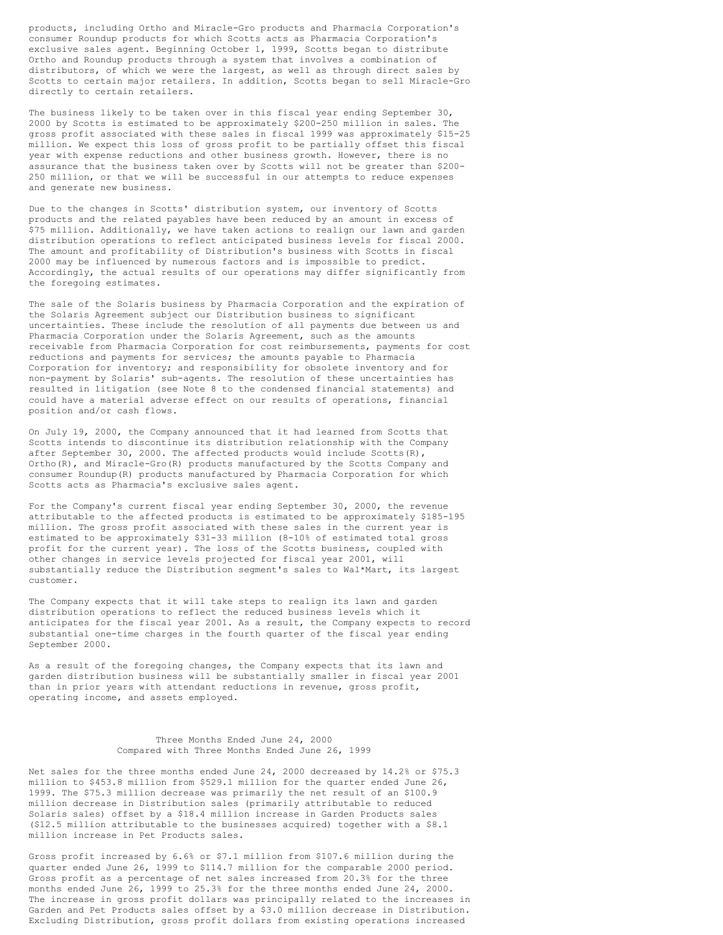products, including Ortho and Miracle-Gro products and Pharmacia Corporation's consumer Roundup products for which Scotts acts as Pharmacia Corporation's exclusive sales agent. Beginning October 1, 1999, Scotts began to distribute Ortho and Roundup products through a system that involves a combination of distributors, of which we were the largest, as well as through direct sales by Scotts to certain major retailers. In addition, Scotts began to sell Miracle-Gro directly to certain retailers.

The business likely to be taken over in this fiscal year ending September 30, 2000 by Scotts is estimated to be approximately \$200-250 million in sales. The gross profit associated with these sales in fiscal 1999 was approximately \$15-25 million. We expect this loss of gross profit to be partially offset this fiscal year with expense reductions and other business growth. However, there is no assurance that the business taken over by Scotts will not be greater than \$200- 250 million, or that we will be successful in our attempts to reduce expenses and generate new business.

Due to the changes in Scotts' distribution system, our inventory of Scotts products and the related payables have been reduced by an amount in excess of \$75 million. Additionally, we have taken actions to realign our lawn and garden distribution operations to reflect anticipated business levels for fiscal 2000. The amount and profitability of Distribution's business with Scotts in fiscal 2000 may be influenced by numerous factors and is impossible to predict. Accordingly, the actual results of our operations may differ significantly from the foregoing estimates.

The sale of the Solaris business by Pharmacia Corporation and the expiration of the Solaris Agreement subject our Distribution business to significant uncertainties. These include the resolution of all payments due between us and Pharmacia Corporation under the Solaris Agreement, such as the amounts receivable from Pharmacia Corporation for cost reimbursements, payments for cost reductions and payments for services; the amounts payable to Pharmacia Corporation for inventory; and responsibility for obsolete inventory and for non-payment by Solaris' sub-agents. The resolution of these uncertainties has resulted in litigation (see Note 8 to the condensed financial statements) and could have a material adverse effect on our results of operations, financial position and/or cash flows.

On July 19, 2000, the Company announced that it had learned from Scotts that Scotts intends to discontinue its distribution relationship with the Company after September 30, 2000. The affected products would include Scotts $(R)$ , Ortho(R), and Miracle-Gro(R) products manufactured by the Scotts Company and consumer Roundup(R) products manufactured by Pharmacia Corporation for which Scotts acts as Pharmacia's exclusive sales agent.

For the Company's current fiscal year ending September 30, 2000, the revenue attributable to the affected products is estimated to be approximately \$185-195 million. The gross profit associated with these sales in the current year is estimated to be approximately \$31-33 million (8-10% of estimated total gross profit for the current year). The loss of the Scotts business, coupled with other changes in service levels projected for fiscal year 2001, will substantially reduce the Distribution segment's sales to Wal\*Mart, its largest customer.

The Company expects that it will take steps to realign its lawn and garden distribution operations to reflect the reduced business levels which it anticipates for the fiscal year 2001. As a result, the Company expects to record substantial one-time charges in the fourth quarter of the fiscal year ending September 2000.

As a result of the foregoing changes, the Company expects that its lawn and garden distribution business will be substantially smaller in fiscal year 2001 than in prior years with attendant reductions in revenue, gross profit, operating income, and assets employed.

> Three Months Ended June 24, 2000 Compared with Three Months Ended June 26, 1999

Net sales for the three months ended June 24, 2000 decreased by 14.2% or \$75.3 million to \$453.8 million from \$529.1 million for the quarter ended June 26, 1999. The \$75.3 million decrease was primarily the net result of an \$100.9 million decrease in Distribution sales (primarily attributable to reduced Solaris sales) offset by a \$18.4 million increase in Garden Products sales (\$12.5 million attributable to the businesses acquired) together with a \$8.1 million increase in Pet Products sales.

Gross profit increased by 6.6% or \$7.1 million from \$107.6 million during the quarter ended June 26, 1999 to \$114.7 million for the comparable 2000 period. Gross profit as a percentage of net sales increased from 20.3% for the three months ended June 26, 1999 to 25.3% for the three months ended June 24, 2000. The increase in gross profit dollars was principally related to the increases in Garden and Pet Products sales offset by a \$3.0 million decrease in Distribution. Excluding Distribution, gross profit dollars from existing operations increased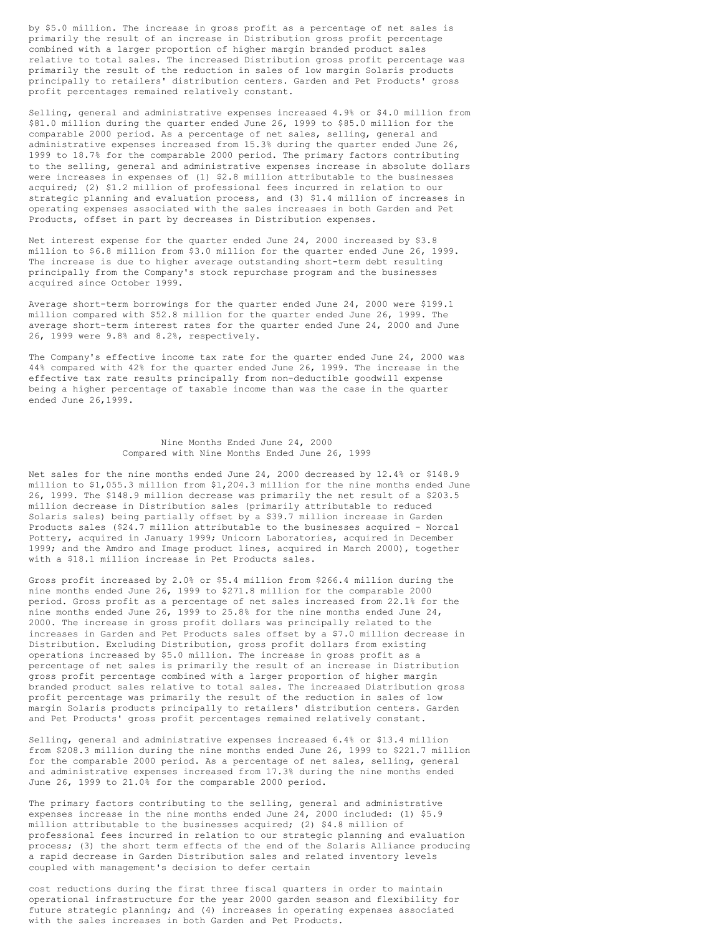by \$5.0 million. The increase in gross profit as a percentage of net sales is primarily the result of an increase in Distribution gross profit percentage combined with a larger proportion of higher margin branded product sales relative to total sales. The increased Distribution gross profit percentage was primarily the result of the reduction in sales of low margin Solaris products principally to retailers' distribution centers. Garden and Pet Products' gross profit percentages remained relatively constant.

Selling, general and administrative expenses increased 4.9% or \$4.0 million from \$81.0 million during the quarter ended June 26, 1999 to \$85.0 million for the comparable 2000 period. As a percentage of net sales, selling, general and administrative expenses increased from 15.3% during the quarter ended June 26, 1999 to 18.7% for the comparable 2000 period. The primary factors contributing to the selling, general and administrative expenses increase in absolute dollars were increases in expenses of (1) \$2.8 million attributable to the businesses acquired; (2) \$1.2 million of professional fees incurred in relation to our strategic planning and evaluation process, and (3) \$1.4 million of increases in operating expenses associated with the sales increases in both Garden and Pet Products, offset in part by decreases in Distribution expenses.

Net interest expense for the quarter ended June 24, 2000 increased by \$3.8 million to \$6.8 million from \$3.0 million for the quarter ended June 26, 1999. The increase is due to higher average outstanding short-term debt resulting principally from the Company's stock repurchase program and the businesses acquired since October 1999.

Average short-term borrowings for the quarter ended June 24, 2000 were \$199.1 million compared with \$52.8 million for the quarter ended June 26, 1999. The average short-term interest rates for the quarter ended June 24, 2000 and June 26, 1999 were 9.8% and 8.2%, respectively.

The Company's effective income tax rate for the quarter ended June 24, 2000 was 44% compared with 42% for the quarter ended June 26, 1999. The increase in the effective tax rate results principally from non-deductible goodwill expense being a higher percentage of taxable income than was the case in the quarter ended June 26,1999.

### Nine Months Ended June 24, 2000 Compared with Nine Months Ended June 26, 1999

Net sales for the nine months ended June 24, 2000 decreased by 12.4% or \$148.9 million to \$1,055.3 million from \$1,204.3 million for the nine months ended June 26, 1999. The \$148.9 million decrease was primarily the net result of a \$203.5 million decrease in Distribution sales (primarily attributable to reduced Solaris sales) being partially offset by a \$39.7 million increase in Garden Products sales (\$24.7 million attributable to the businesses acquired - Norcal Pottery, acquired in January 1999; Unicorn Laboratories, acquired in December 1999; and the Amdro and Image product lines, acquired in March 2000), together with a \$18.1 million increase in Pet Products sales.

Gross profit increased by 2.0% or \$5.4 million from \$266.4 million during the nine months ended June 26, 1999 to \$271.8 million for the comparable 2000 period. Gross profit as a percentage of net sales increased from 22.1% for the nine months ended June 26, 1999 to 25.8% for the nine months ended June 24, 2000. The increase in gross profit dollars was principally related to the increases in Garden and Pet Products sales offset by a \$7.0 million decrease in Distribution. Excluding Distribution, gross profit dollars from existing operations increased by \$5.0 million. The increase in gross profit as a percentage of net sales is primarily the result of an increase in Distribution gross profit percentage combined with a larger proportion of higher margin branded product sales relative to total sales. The increased Distribution gross profit percentage was primarily the result of the reduction in sales of low margin Solaris products principally to retailers' distribution centers. Garden and Pet Products' gross profit percentages remained relatively constant.

Selling, general and administrative expenses increased 6.4% or \$13.4 million from \$208.3 million during the nine months ended June 26, 1999 to \$221.7 million for the comparable 2000 period. As a percentage of net sales, selling, general and administrative expenses increased from 17.3% during the nine months ended June 26, 1999 to 21.0% for the comparable 2000 period.

The primary factors contributing to the selling, general and administrative expenses increase in the nine months ended June 24, 2000 included: (1) \$5.9 million attributable to the businesses acquired; (2) \$4.8 million of professional fees incurred in relation to our strategic planning and evaluation process; (3) the short term effects of the end of the Solaris Alliance producing a rapid decrease in Garden Distribution sales and related inventory levels coupled with management's decision to defer certain

cost reductions during the first three fiscal quarters in order to maintain operational infrastructure for the year 2000 garden season and flexibility for future strategic planning; and (4) increases in operating expenses associated with the sales increases in both Garden and Pet Products.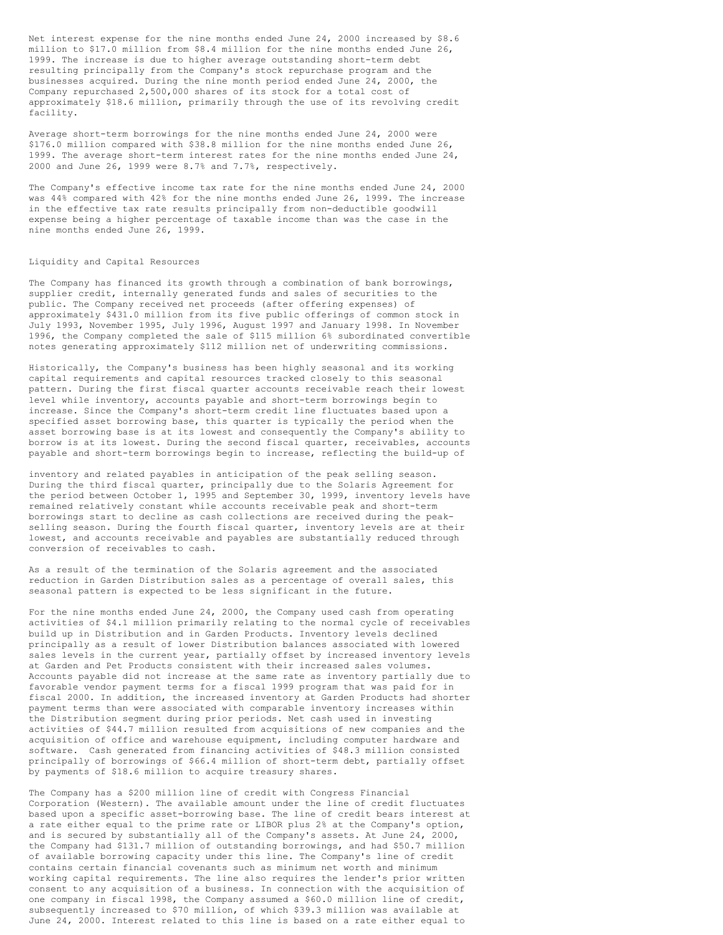Net interest expense for the nine months ended June 24, 2000 increased by \$8.6 million to \$17.0 million from \$8.4 million for the nine months ended June 26, 1999. The increase is due to higher average outstanding short-term debt resulting principally from the Company's stock repurchase program and the businesses acquired. During the nine month period ended June 24, 2000, the Company repurchased 2,500,000 shares of its stock for a total cost of approximately \$18.6 million, primarily through the use of its revolving credit facility.

Average short-term borrowings for the nine months ended June 24, 2000 were \$176.0 million compared with \$38.8 million for the nine months ended June 26, 1999. The average short-term interest rates for the nine months ended June 24, 2000 and June 26, 1999 were 8.7% and 7.7%, respectively.

The Company's effective income tax rate for the nine months ended June 24, 2000 was 44% compared with 42% for the nine months ended June 26, 1999. The increase in the effective tax rate results principally from non-deductible goodwill expense being a higher percentage of taxable income than was the case in the nine months ended June 26, 1999.

### Liquidity and Capital Resources

The Company has financed its growth through a combination of bank borrowings, supplier credit, internally generated funds and sales of securities to the public. The Company received net proceeds (after offering expenses) of approximately \$431.0 million from its five public offerings of common stock in July 1993, November 1995, July 1996, August 1997 and January 1998. In November 1996, the Company completed the sale of \$115 million 6% subordinated convertible notes generating approximately \$112 million net of underwriting commissions.

Historically, the Company's business has been highly seasonal and its working capital requirements and capital resources tracked closely to this seasonal pattern. During the first fiscal quarter accounts receivable reach their lowest level while inventory, accounts payable and short-term borrowings begin to increase. Since the Company's short-term credit line fluctuates based upon a specified asset borrowing base, this quarter is typically the period when the asset borrowing base is at its lowest and consequently the Company's ability to borrow is at its lowest. During the second fiscal quarter, receivables, accounts payable and short-term borrowings begin to increase, reflecting the build-up of

inventory and related payables in anticipation of the peak selling season. During the third fiscal quarter, principally due to the Solaris Agreement for the period between October 1, 1995 and September 30, 1999, inventory levels have remained relatively constant while accounts receivable peak and short-term borrowings start to decline as cash collections are received during the peakselling season. During the fourth fiscal quarter, inventory levels are at their lowest, and accounts receivable and payables are substantially reduced through conversion of receivables to cash.

As a result of the termination of the Solaris agreement and the associated reduction in Garden Distribution sales as a percentage of overall sales, this seasonal pattern is expected to be less significant in the future.

For the nine months ended June 24, 2000, the Company used cash from operating activities of \$4.1 million primarily relating to the normal cycle of receivables build up in Distribution and in Garden Products. Inventory levels declined principally as a result of lower Distribution balances associated with lowered sales levels in the current year, partially offset by increased inventory levels at Garden and Pet Products consistent with their increased sales volumes. Accounts payable did not increase at the same rate as inventory partially due to favorable vendor payment terms for a fiscal 1999 program that was paid for in fiscal 2000. In addition, the increased inventory at Garden Products had shorter payment terms than were associated with comparable inventory increases within the Distribution segment during prior periods. Net cash used in investing activities of \$44.7 million resulted from acquisitions of new companies and the acquisition of office and warehouse equipment, including computer hardware and software. Cash generated from financing activities of \$48.3 million consisted principally of borrowings of \$66.4 million of short-term debt, partially offset by payments of \$18.6 million to acquire treasury shares.

The Company has a \$200 million line of credit with Congress Financial Corporation (Western). The available amount under the line of credit fluctuates based upon a specific asset-borrowing base. The line of credit bears interest at a rate either equal to the prime rate or LIBOR plus 2% at the Company's option, and is secured by substantially all of the Company's assets. At June 24, 2000, the Company had \$131.7 million of outstanding borrowings, and had \$50.7 million of available borrowing capacity under this line. The Company's line of credit contains certain financial covenants such as minimum net worth and minimum working capital requirements. The line also requires the lender's prior written consent to any acquisition of a business. In connection with the acquisition of one company in fiscal 1998, the Company assumed a \$60.0 million line of credit, subsequently increased to \$70 million, of which \$39.3 million was available at June 24, 2000. Interest related to this line is based on a rate either equal to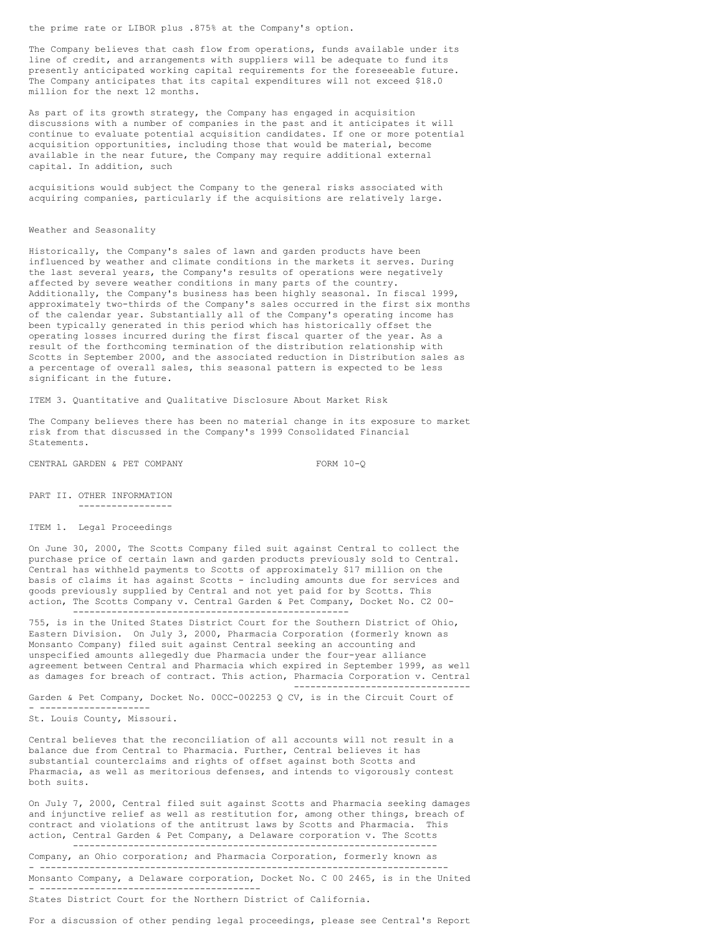the prime rate or LIBOR plus .875% at the Company's option.

The Company believes that cash flow from operations, funds available under its line of credit, and arrangements with suppliers will be adequate to fund its presently anticipated working capital requirements for the foreseeable future. The Company anticipates that its capital expenditures will not exceed \$18.0 million for the next 12 months.

As part of its growth strategy, the Company has engaged in acquisition discussions with a number of companies in the past and it anticipates it will continue to evaluate potential acquisition candidates. If one or more potential acquisition opportunities, including those that would be material, become available in the near future, the Company may require additional external capital. In addition, such

acquisitions would subject the Company to the general risks associated with acquiring companies, particularly if the acquisitions are relatively large.

#### Weather and Seasonality

Historically, the Company's sales of lawn and garden products have been influenced by weather and climate conditions in the markets it serves. During the last several years, the Company's results of operations were negatively affected by severe weather conditions in many parts of the country. Additionally, the Company's business has been highly seasonal. In fiscal 1999, approximately two-thirds of the Company's sales occurred in the first six months of the calendar year. Substantially all of the Company's operating income has been typically generated in this period which has historically offset the operating losses incurred during the first fiscal quarter of the year. As a result of the forthcoming termination of the distribution relationship with Scotts in September 2000, and the associated reduction in Distribution sales as a percentage of overall sales, this seasonal pattern is expected to be less significant in the future.

ITEM 3. Quantitative and Qualitative Disclosure About Market Risk

The Company believes there has been no material change in its exposure to market risk from that discussed in the Company's 1999 Consolidated Financial Statements.

CENTRAL GARDEN & PET COMPANY FORM 10-Q

--------------------------------

PART II. OTHER INFORMATION -----------------

ITEM 1. Legal Proceedings

On June 30, 2000, The Scotts Company filed suit against Central to collect the purchase price of certain lawn and garden products previously sold to Central. Central has withheld payments to Scotts of approximately \$17 million on the basis of claims it has against Scotts - including amounts due for services and goods previously supplied by Central and not yet paid for by Scotts. This action, The Scotts Company v. Central Garden & Pet Company, Docket No. C2 00- --------------------------------------------------

755, is in the United States District Court for the Southern District of Ohio, Eastern Division. On July 3, 2000, Pharmacia Corporation (formerly known as Monsanto Company) filed suit against Central seeking an accounting and unspecified amounts allegedly due Pharmacia under the four-year alliance agreement between Central and Pharmacia which expired in September 1999, as well as damages for breach of contract. This action, Pharmacia Corporation v. Central

Garden & Pet Company, Docket No. 00CC-002253 Q CV, is in the Circuit Court of - --------------------

St. Louis County, Missouri.

Central believes that the reconciliation of all accounts will not result in a balance due from Central to Pharmacia. Further, Central believes it has substantial counterclaims and rights of offset against both Scotts and Pharmacia, as well as meritorious defenses, and intends to vigorously contest both suits.

On July 7, 2000, Central filed suit against Scotts and Pharmacia seeking damages and injunctive relief as well as restitution for, among other things, breach of contract and violations of the antitrust laws by Scotts and Pharmacia. This action, Central Garden & Pet Company, a Delaware corporation v. The Scotts ------------------------------------------------------------------

Company, an Ohio corporation; and Pharmacia Corporation, formerly known as - -------------------------------------------------------------------------- Monsanto Company, a Delaware corporation, Docket No. C 00 2465, is in the United - ----------------------------------------

States District Court for the Northern District of California.

For a discussion of other pending legal proceedings, please see Central's Report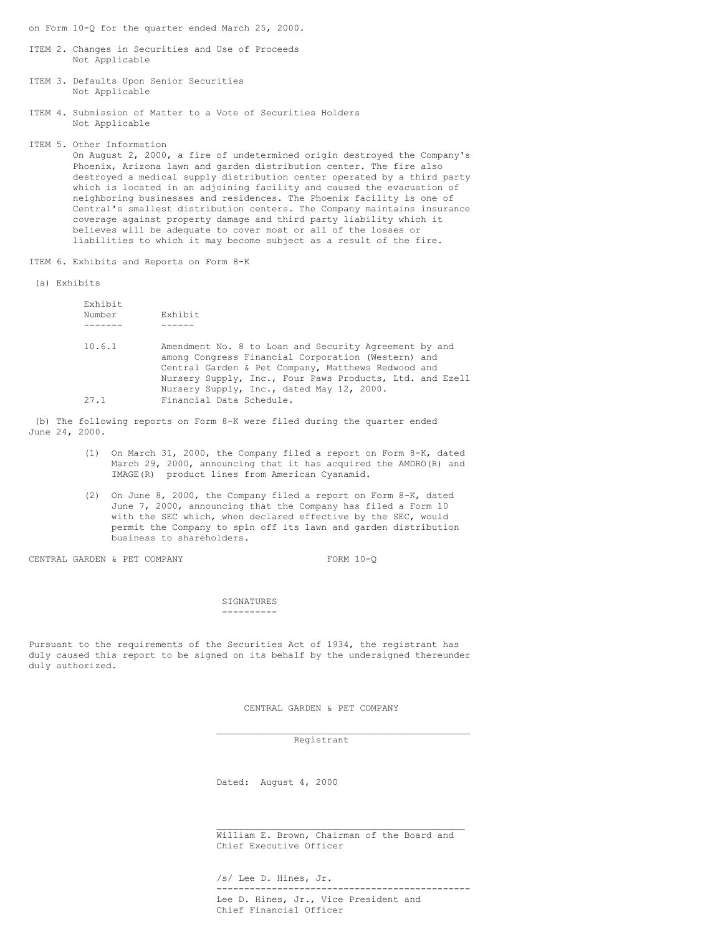on Form 10-Q for the quarter ended March 25, 2000.

- ITEM 2. Changes in Securities and Use of Proceeds Not Applicable
- ITEM 3. Defaults Upon Senior Securities Not Applicable
- ITEM 4. Submission of Matter to a Vote of Securities Holders Not Applicable

ITEM 5. Other Information

On August 2, 2000, a fire of undetermined origin destroyed the Company's Phoenix, Arizona lawn and garden distribution center. The fire also destroyed a medical supply distribution center operated by a third party which is located in an adjoining facility and caused the evacuation of neighboring businesses and residences. The Phoenix facility is one of Central's smallest distribution centers. The Company maintains insurance coverage against property damage and third party liability which it believes will be adequate to cover most or all of the losses or liabilities to which it may become subject as a result of the fire.

ITEM 6. Exhibits and Reports on Form 8-K

#### (a) Exhibits

| Exhibit |                                                          |
|---------|----------------------------------------------------------|
| Number  | Exhibit                                                  |
|         |                                                          |
| 10.6.1  | Amendment No. 8 to Loan and Security Agreement by and    |
|         | among Congress Financial Corporation (Western) and       |
|         | Central Garden & Pet Company, Matthews Redwood and       |
|         | Nursery Supply, Inc., Four Paws Products, Ltd. and Ezell |
|         | Nursery Supply, Inc., dated May 12, 2000.                |
| 27.1    | Financial Data Schedule.                                 |

(b) The following reports on Form 8-K were filed during the quarter ended June 24, 2000.

- (1) On March 31, 2000, the Company filed a report on Form 8-K, dated March 29, 2000, announcing that it has acquired the AMDRO(R) and IMAGE(R) product lines from American Cyanamid.
- (2) On June 8, 2000, the Company filed a report on Form 8-K, dated June 7, 2000, announcing that the Company has filed a Form 10 with the SEC which, when declared effective by the SEC, would permit the Company to spin off its lawn and garden distribution business to shareholders.

CENTRAL GARDEN & PET COMPANY FORM 10-Q

#### **SIGNATURES** ----------

Pursuant to the requirements of the Securities Act of 1934, the registrant has duly caused this report to be signed on its behalf by the undersigned thereunder duly authorized.

CENTRAL GARDEN & PET COMPANY

\_\_\_\_\_\_\_\_\_\_\_\_\_\_\_\_\_\_\_\_\_\_\_\_\_\_\_\_\_\_\_\_\_\_\_\_\_\_\_\_\_\_\_\_\_\_

Registrant

Dated: August 4, 2000

\_\_\_\_\_\_\_\_\_\_\_\_\_\_\_\_\_\_\_\_\_\_\_\_\_\_\_\_\_\_\_\_\_\_\_\_\_\_\_\_\_\_\_\_\_ William E. Brown, Chairman of the Board and Chief Executive Officer

/s/ Lee D. Hines, Jr.

---------------------------------------------- Lee D. Hines, Jr., Vice President and Chief Financial Officer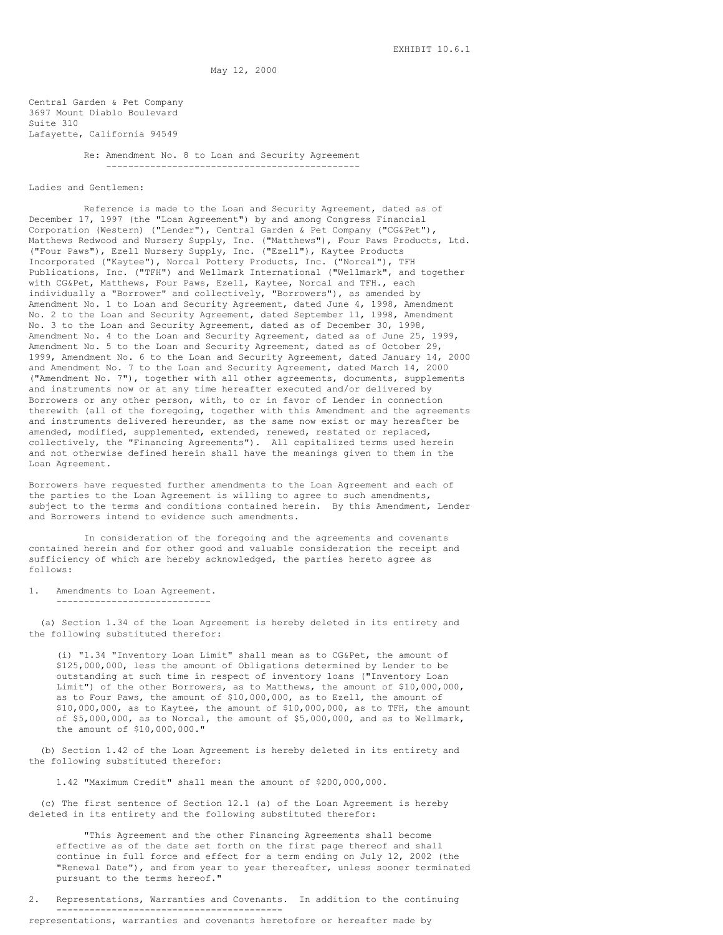May 12, 2000

Central Garden & Pet Company 3697 Mount Diablo Boulevard Suite 310 Lafayette, California 94549

> Re: Amendment No. 8 to Loan and Security Agreement ----------------------------------------------

Ladies and Gentlemen:

Reference is made to the Loan and Security Agreement, dated as of December 17, 1997 (the "Loan Agreement") by and among Congress Financial Corporation (Western) ("Lender"), Central Garden & Pet Company ("CG&Pet"), Matthews Redwood and Nursery Supply, Inc. ("Matthews"), Four Paws Products, Ltd. ("Four Paws"), Ezell Nursery Supply, Inc. ("Ezell"), Kaytee Products Incorporated ("Kaytee"), Norcal Pottery Products, Inc. ("Norcal"), TFH Publications, Inc. ("TFH") and Wellmark International ("Wellmark", and together with CG&Pet, Matthews, Four Paws, Ezell, Kaytee, Norcal and TFH., each individually a "Borrower" and collectively, "Borrowers"), as amended by Amendment No. 1 to Loan and Security Agreement, dated June 4, 1998, Amendment No. 2 to the Loan and Security Agreement, dated September 11, 1998, Amendment No. 3 to the Loan and Security Agreement, dated as of December 30, 1998, Amendment No. 4 to the Loan and Security Agreement, dated as of June 25, 1999, Amendment No. 5 to the Loan and Security Agreement, dated as of October 29, 1999, Amendment No. 6 to the Loan and Security Agreement, dated January 14, 2000 and Amendment No. 7 to the Loan and Security Agreement, dated March 14, 2000 ("Amendment No. 7"), together with all other agreements, documents, supplements and instruments now or at any time hereafter executed and/or delivered by Borrowers or any other person, with, to or in favor of Lender in connection therewith (all of the foregoing, together with this Amendment and the agreements and instruments delivered hereunder, as the same now exist or may hereafter be amended, modified, supplemented, extended, renewed, restated or replaced, collectively, the "Financing Agreements"). All capitalized terms used herein and not otherwise defined herein shall have the meanings given to them in the Loan Agreement.

Borrowers have requested further amendments to the Loan Agreement and each of the parties to the Loan Agreement is willing to agree to such amendments, subject to the terms and conditions contained herein. By this Amendment, Lender and Borrowers intend to evidence such amendments.

In consideration of the foregoing and the agreements and covenants contained herein and for other good and valuable consideration the receipt and sufficiency of which are hereby acknowledged, the parties hereto agree as follows:

1. Amendments to Loan Agreement.

----------------------------

(a) Section 1.34 of the Loan Agreement is hereby deleted in its entirety and the following substituted therefor:

(i) "1.34 "Inventory Loan Limit" shall mean as to CG&Pet, the amount of \$125,000,000, less the amount of Obligations determined by Lender to be outstanding at such time in respect of inventory loans ("Inventory Loan Limit") of the other Borrowers, as to Matthews, the amount of \$10,000,000, as to Four Paws, the amount of \$10,000,000, as to Ezell, the amount of \$10,000,000, as to Kaytee, the amount of \$10,000,000, as to TFH, the amount of \$5,000,000, as to Norcal, the amount of \$5,000,000, and as to Wellmark, the amount of \$10,000,000."

(b) Section 1.42 of the Loan Agreement is hereby deleted in its entirety and the following substituted therefor:

1.42 "Maximum Credit" shall mean the amount of \$200,000,000.

(c) The first sentence of Section 12.1 (a) of the Loan Agreement is hereby deleted in its entirety and the following substituted therefor:

"This Agreement and the other Financing Agreements shall become effective as of the date set forth on the first page thereof and shall continue in full force and effect for a term ending on July 12, 2002 (the "Renewal Date"), and from year to year thereafter, unless sooner terminated pursuant to the terms hereof."

2. Representations, Warranties and Covenants. In addition to the continuing ---------------------------------------- representations, warranties and covenants heretofore or hereafter made by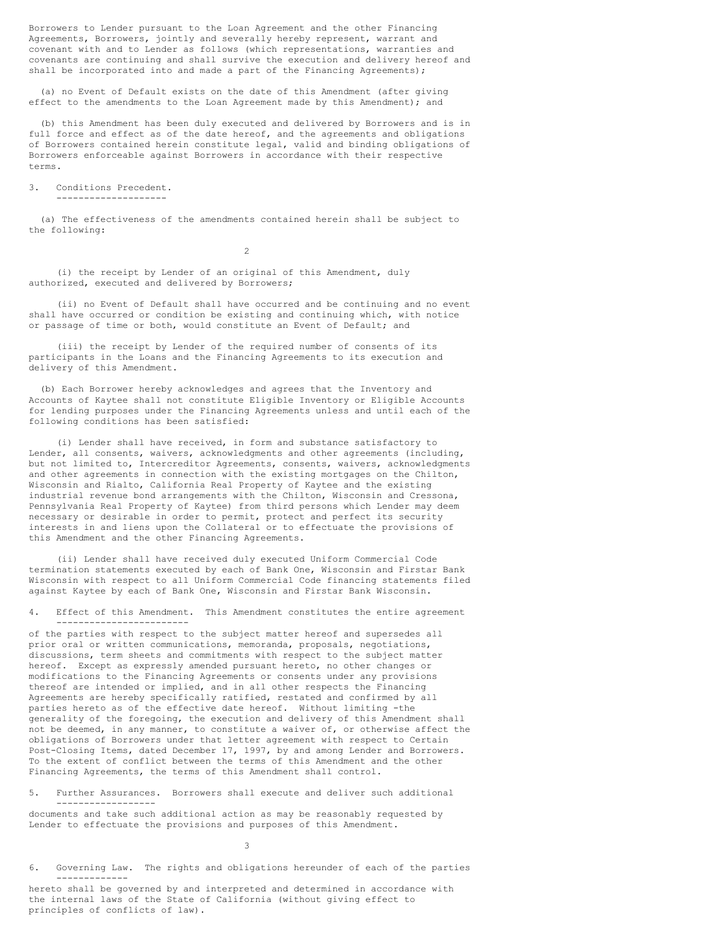Borrowers to Lender pursuant to the Loan Agreement and the other Financing Agreements, Borrowers, jointly and severally hereby represent, warrant and covenant with and to Lender as follows (which representations, warranties and covenants are continuing and shall survive the execution and delivery hereof and shall be incorporated into and made a part of the Financing Agreements);

(a) no Event of Default exists on the date of this Amendment (after giving effect to the amendments to the Loan Agreement made by this Amendment); and

(b) this Amendment has been duly executed and delivered by Borrowers and is in full force and effect as of the date hereof, and the agreements and obligations of Borrowers contained herein constitute legal, valid and binding obligations of Borrowers enforceable against Borrowers in accordance with their respective terms.

3. Conditions Precedent.

--------------------

(a) The effectiveness of the amendments contained herein shall be subject to the following:

 $\overline{2}$ 

(i) the receipt by Lender of an original of this Amendment, duly authorized, executed and delivered by Borrowers;

(ii) no Event of Default shall have occurred and be continuing and no event shall have occurred or condition be existing and continuing which, with notice or passage of time or both, would constitute an Event of Default; and

(iii) the receipt by Lender of the required number of consents of its participants in the Loans and the Financing Agreements to its execution and delivery of this Amendment.

(b) Each Borrower hereby acknowledges and agrees that the Inventory and Accounts of Kaytee shall not constitute Eligible Inventory or Eligible Accounts for lending purposes under the Financing Agreements unless and until each of the following conditions has been satisfied:

(i) Lender shall have received, in form and substance satisfactory to Lender, all consents, waivers, acknowledgments and other agreements (including, but not limited to, Intercreditor Agreements, consents, waivers, acknowledgments and other agreements in connection with the existing mortgages on the Chilton, Wisconsin and Rialto, California Real Property of Kaytee and the existing industrial revenue bond arrangements with the Chilton, Wisconsin and Cressona, Pennsylvania Real Property of Kaytee) from third persons which Lender may deem necessary or desirable in order to permit, protect and perfect its security interests in and liens upon the Collateral or to effectuate the provisions of this Amendment and the other Financing Agreements.

(ii) Lender shall have received duly executed Uniform Commercial Code termination statements executed by each of Bank One, Wisconsin and Firstar Bank Wisconsin with respect to all Uniform Commercial Code financing statements filed against Kaytee by each of Bank One, Wisconsin and Firstar Bank Wisconsin.

4. Effect of this Amendment. This Amendment constitutes the entire agreement ------------------------

of the parties with respect to the subject matter hereof and supersedes all prior oral or written communications, memoranda, proposals, negotiations, discussions, term sheets and commitments with respect to the subject matter hereof. Except as expressly amended pursuant hereto, no other changes or modifications to the Financing Agreements or consents under any provisions thereof are intended or implied, and in all other respects the Financing Agreements are hereby specifically ratified, restated and confirmed by all parties hereto as of the effective date hereof. Without limiting -the generality of the foregoing, the execution and delivery of this Amendment shall not be deemed, in any manner, to constitute a waiver of, or otherwise affect the obligations of Borrowers under that letter agreement with respect to Certain Post-Closing Items, dated December 17, 1997, by and among Lender and Borrowers. To the extent of conflict between the terms of this Amendment and the other Financing Agreements, the terms of this Amendment shall control.

5. Further Assurances. Borrowers shall execute and deliver such additional ------------------

documents and take such additional action as may be reasonably requested by Lender to effectuate the provisions and purposes of this Amendment.

3

6. Governing Law. The rights and obligations hereunder of each of the parties -------------

hereto shall be governed by and interpreted and determined in accordance with the internal laws of the State of California (without giving effect to principles of conflicts of law).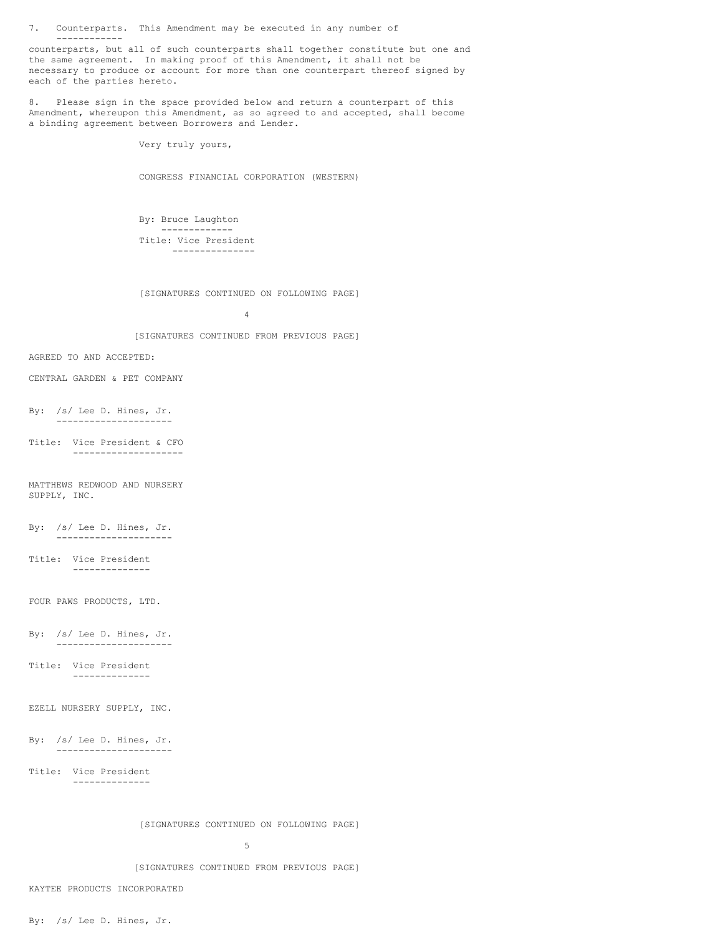7. Counterparts. This Amendment may be executed in any number of ------------

counterparts, but all of such counterparts shall together constitute but one and the same agreement. In making proof of this Amendment, it shall not be necessary to produce or account for more than one counterpart thereof signed by each of the parties hereto.

8. Please sign in the space provided below and return a counterpart of this Amendment, whereupon this Amendment, as so agreed to and accepted, shall become a binding agreement between Borrowers and Lender.

Very truly yours,

CONGRESS FINANCIAL CORPORATION (WESTERN)

By: Bruce Laughton ------------- Title: Vice President ---------------

[SIGNATURES CONTINUED ON FOLLOWING PAGE]

4

[SIGNATURES CONTINUED FROM PREVIOUS PAGE]

- AGREED TO AND ACCEPTED:
- CENTRAL GARDEN & PET COMPANY
- By: /s/ Lee D. Hines, Jr. ---------------------
- Title: Vice President & CFO --------------------

MATTHEWS REDWOOD AND NURSERY SUPPLY, INC.

- By: /s/ Lee D. Hines, Jr. ---------------------
- Title: Vice President --------------

FOUR PAWS PRODUCTS, LTD.

- By: /s/ Lee D. Hines, Jr. ---------------------
- Title: Vice President --------------

EZELL NURSERY SUPPLY, INC.

By: /s/ Lee D. Hines, Jr. ---------------------

--------------

Title: Vice President

[SIGNATURES CONTINUED ON FOLLOWING PAGE]

5

[SIGNATURES CONTINUED FROM PREVIOUS PAGE]

KAYTEE PRODUCTS INCORPORATED

By: /s/ Lee D. Hines, Jr.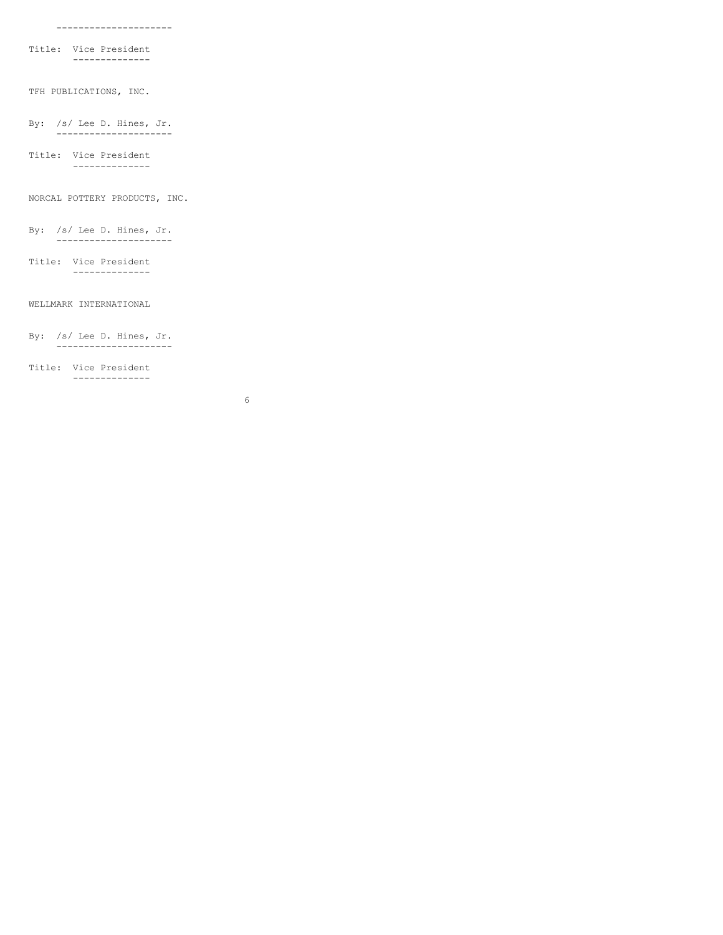Title: Vice President --------------

TFH PUBLICATIONS, INC.

By: /s/ Lee D. Hines, Jr. ---------------------

Title: Vice President --------------

NORCAL POTTERY PRODUCTS, INC.

By: /s/ Lee D. Hines, Jr. ---------------------

Title: Vice President --------------

## WELLMARK INTERNATIONAL

By: /s/ Lee D. Hines, Jr. ---------------------

--------------

Title: Vice President

6